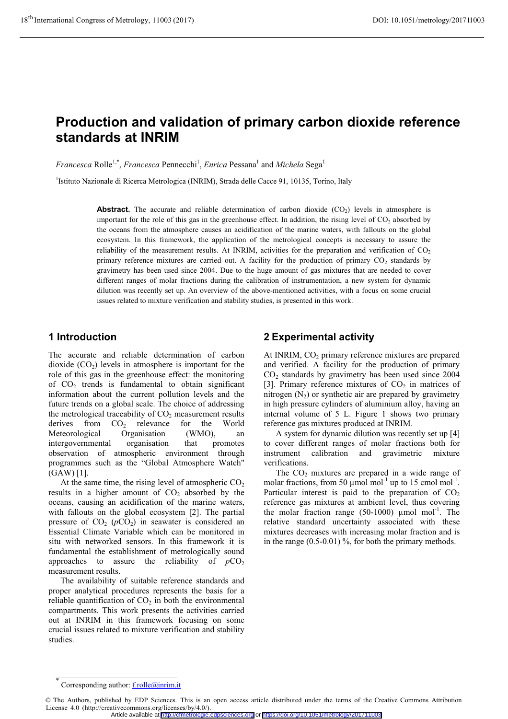# **Production and validation of primary carbon dioxide reference standards at INRIM**

*Francesca* Rolle<sup>1,\*</sup>, *Francesca* Pennecchi<sup>1</sup>, *Enrica* Pessana<sup>1</sup> and *Michela* Sega<sup>1</sup>

<sup>1</sup>Istituto Nazionale di Ricerca Metrologica (INRIM), Strada delle Cacce 91, 10135, Torino, Italy

Abstract. The accurate and reliable determination of carbon dioxide (CO<sub>2</sub>) levels in atmosphere is important for the role of this gas in the greenhouse effect. In addition, the rising level of  $CO<sub>2</sub>$  absorbed by the oceans from the atmosphere causes an acidification of the marine waters, with fallouts on the global ecosystem. In this framework, the application of the metrological concepts is necessary to assure the reliability of the measurement results. At INRIM, activities for the preparation and verification of  $CO<sub>2</sub>$ primary reference mixtures are carried out. A facility for the production of primary  $CO<sub>2</sub>$  standards by gravimetry has been used since 2004. Due to the huge amount of gas mixtures that are needed to cover different ranges of molar fractions during the calibration of instrumentation, a new system for dynamic dilution was recently set up. An overview of the above-mentioned activities, with a focus on some crucial issues related to mixture verification and stability studies, is presented in this work.

### **1 Introduction**

The accurate and reliable determination of carbon dioxide  $(CO<sub>2</sub>)$  levels in atmosphere is important for the role of this gas in the greenhouse effect: the monitoring of  $CO<sub>2</sub>$  trends is fundamental to obtain significant information about the current pollution levels and the future trends on a global scale. The choice of addressing the metrological traceability of  $CO<sub>2</sub>$  measurement results derives from  $CO<sub>2</sub>$  relevance for the World<br>Meteorological Organisation (WMO), an Meteorological Organisation (WMO), an intergovernmental organisation that promotes observation of atmospheric environment through programmes such as the "Global Atmosphere Watch" (GAW) [1].

At the same time, the rising level of atmospheric  $CO<sub>2</sub>$ results in a higher amount of  $CO<sub>2</sub>$  absorbed by the oceans, causing an acidification of the marine waters, with fallouts on the global ecosystem [2]. The partial pressure of  $CO<sub>2</sub>$  ( $pCO<sub>2</sub>$ ) in seawater is considered an Essential Climate Variable which can be monitored in situ with networked sensors. In this framework it is fundamental the establishment of metrologically sound approaches to assure the reliability of  $pCO<sub>2</sub>$ measurement results.

The availability of suitable reference standards and proper analytical procedures represents the basis for a reliable quantification of  $CO<sub>2</sub>$  in both the environmental compartments. This work presents the activities carried out at INRIM in this framework focusing on some crucial issues related to mixture verification and stability studies.

# **2 Experimental activity**

At INRIM,  $CO<sub>2</sub>$  primary reference mixtures are prepared and verified. A facility for the production of primary  $CO<sub>2</sub>$  standards by gravimetry has been used since 2004 [3]. Primary reference mixtures of  $CO<sub>2</sub>$  in matrices of nitrogen  $(N_2)$  or synthetic air are prepared by gravimetry in high pressure cylinders of aluminium alloy, having an internal volume of 5 L. Figure 1 shows two primary reference gas mixtures produced at INRIM.

A system for dynamic dilution was recently set up [4] to cover different ranges of molar fractions both for instrument calibration and gravimetric mixture verifications.

The  $CO<sub>2</sub>$  mixtures are prepared in a wide range of molar fractions, from 50  $\mu$ mol mol<sup>-1</sup> up to 15 cmol mol<sup>-1</sup>. Particular interest is paid to the preparation of  $CO<sub>2</sub>$ reference gas mixtures at ambient level, thus covering the molar fraction range  $(50-1000)$  μmol mol<sup>-1</sup>. The relative standard uncertainty associated with these mixtures decreases with increasing molar fraction and is in the range  $(0.5-0.01)$ %, for both the primary methods.

<sup>\*</sup> Corresponding author: f.rolle@inrim.it

<sup>©</sup> The Authors, published by EDP Sciences. This is an open access article distributed under the terms of the Creative Commons Attribution License 4.0 (http://creativecommons.org/licenses/by/4.0/).

Article available at <http://cfmetrologie.edpsciences.org> or <https://doi.org/10.1051/metrology/201711003>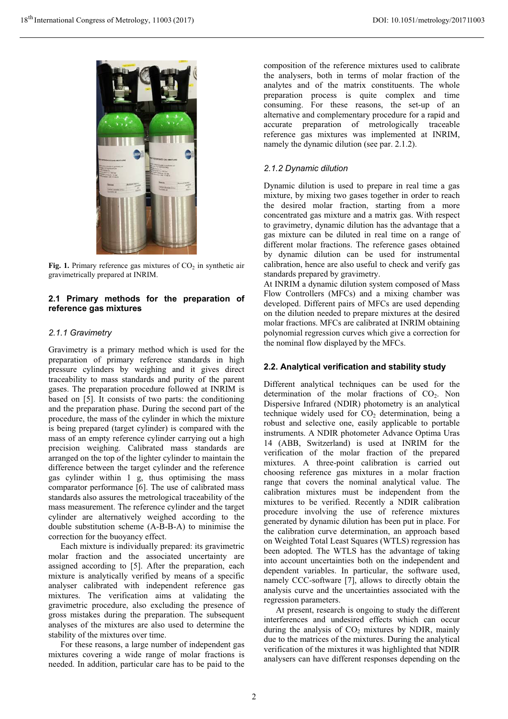

**Fig. 1.** Primary reference gas mixtures of  $CO<sub>2</sub>$  in synthetic air gravimetrically prepared at INRIM.

### **2.1 Primary methods for the preparation of reference gas mixtures**

#### *2.1.1 Gravimetry*

Gravimetry is a primary method which is used for the preparation of primary reference standards in high pressure cylinders by weighing and it gives direct traceability to mass standards and purity of the parent gases. The preparation procedure followed at INRIM is based on [5]. It consists of two parts: the conditioning and the preparation phase. During the second part of the procedure, the mass of the cylinder in which the mixture is being prepared (target cylinder) is compared with the mass of an empty reference cylinder carrying out a high precision weighing. Calibrated mass standards are arranged on the top of the lighter cylinder to maintain the difference between the target cylinder and the reference gas cylinder within 1 g, thus optimising the mass comparator performance [6]. The use of calibrated mass standards also assures the metrological traceability of the mass measurement. The reference cylinder and the target cylinder are alternatively weighed according to the double substitution scheme (A-B-B-A) to minimise the correction for the buoyancy effect.

Each mixture is individually prepared: its gravimetric molar fraction and the associated uncertainty are assigned according to [5]. After the preparation, each mixture is analytically verified by means of a specific analyser calibrated with independent reference gas mixtures. The verification aims at validating the gravimetric procedure, also excluding the presence of gross mistakes during the preparation. The subsequent analyses of the mixtures are also used to determine the stability of the mixtures over time.

For these reasons, a large number of independent gas mixtures covering a wide range of molar fractions is needed. In addition, particular care has to be paid to the composition of the reference mixtures used to calibrate the analysers, both in terms of molar fraction of the analytes and of the matrix constituents. The whole preparation process is quite complex and time consuming. For these reasons, the set-up of an alternative and complementary procedure for a rapid and accurate preparation of metrologically traceable reference gas mixtures was implemented at INRIM, namely the dynamic dilution (see par. 2.1.2).

### *2.1.2 Dynamic dilution*

Dynamic dilution is used to prepare in real time a gas mixture, by mixing two gases together in order to reach the desired molar fraction, starting from a more concentrated gas mixture and a matrix gas. With respect to gravimetry, dynamic dilution has the advantage that a gas mixture can be diluted in real time on a range of different molar fractions. The reference gases obtained by dynamic dilution can be used for instrumental calibration, hence are also useful to check and verify gas standards prepared by gravimetry.

At INRIM a dynamic dilution system composed of Mass Flow Controllers (MFCs) and a mixing chamber was developed. Different pairs of MFCs are used depending on the dilution needed to prepare mixtures at the desired molar fractions. MFCs are calibrated at INRIM obtaining polynomial regression curves which give a correction for the nominal flow displayed by the MFCs.

#### **2.2. Analytical verification and stability study**

Different analytical techniques can be used for the determination of the molar fractions of  $CO<sub>2</sub>$ . Non Dispersive Infrared (NDIR) photometry is an analytical technique widely used for  $CO<sub>2</sub>$  determination, being a robust and selective one, easily applicable to portable instruments. A NDIR photometer Advance Optima Uras 14 (ABB, Switzerland) is used at INRIM for the verification of the molar fraction of the prepared mixtures. A three-point calibration is carried out choosing reference gas mixtures in a molar fraction range that covers the nominal analytical value. The calibration mixtures must be independent from the mixtures to be verified. Recently a NDIR calibration procedure involving the use of reference mixtures generated by dynamic dilution has been put in place. For the calibration curve determination, an approach based on Weighted Total Least Squares (WTLS) regression has been adopted. The WTLS has the advantage of taking into account uncertainties both on the independent and dependent variables. In particular, the software used, namely CCC-software [7], allows to directly obtain the analysis curve and the uncertainties associated with the regression parameters.

At present, research is ongoing to study the different interferences and undesired effects which can occur during the analysis of  $CO<sub>2</sub>$  mixtures by NDIR, mainly due to the matrices of the mixtures. During the analytical verification of the mixtures it was highlighted that NDIR analysers can have different responses depending on the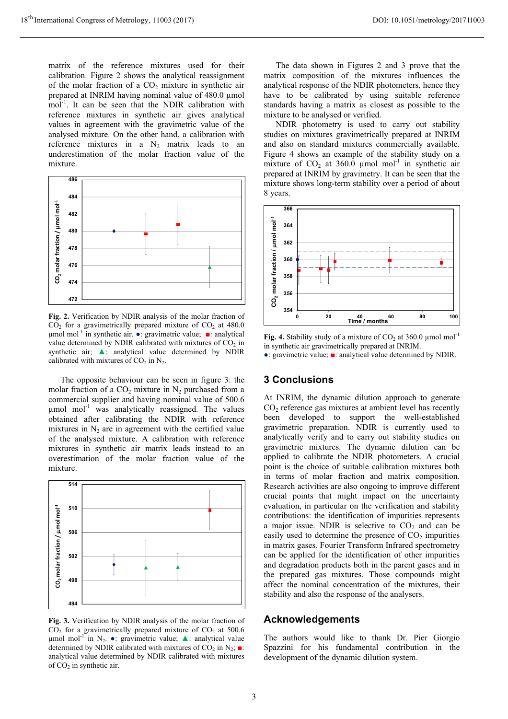matrix of the reference mixtures used for their calibration. Figure 2 shows the analytical reassignment of the molar fraction of a  $CO<sub>2</sub>$  mixture in synthetic air prepared at INRIM having nominal value of 480.0 μmol mol<sup>-1</sup>. It can be seen that the NDIR calibration with reference mixtures in synthetic air gives analytical values in agreement with the gravimetric value of the analysed mixture. On the other hand, a calibration with reference mixtures in a  $N_2$  matrix leads to an underestimation of the molar fraction value of the mixture.



**Fig. 2.** Verification by NDIR analysis of the molar fraction of  $CO<sub>2</sub>$  for a gravimetrically prepared mixture of  $CO<sub>2</sub>$  at 480.0  $μ$ mol mol<sup>-1</sup> in synthetic air.  $\bullet$ : gravimetric value;  $\bullet$ : analytical value determined by NDIR calibrated with mixtures of  $CO<sub>2</sub>$  in synthetic air;  $\blacktriangle$ : analytical value determined by NDIR calibrated with mixtures of  $CO<sub>2</sub>$  in N<sub>2</sub>.

The opposite behaviour can be seen in figure 3: the molar fraction of a  $CO_2$  mixture in  $N_2$  purchased from a commercial supplier and having nominal value of 500.6  $\mu$ mol mol<sup>-1</sup> was analytically reassigned. The values obtained after calibrating the NDIR with reference mixtures in  $N<sub>2</sub>$  are in agreement with the certified value of the analysed mixture. A calibration with reference mixtures in synthetic air matrix leads instead to an overestimation of the molar fraction value of the mixture.



**Fig. 3.** Verification by NDIR analysis of the molar fraction of  $CO<sub>2</sub>$  for a gravimetrically prepared mixture of  $CO<sub>2</sub>$  at 500.6 μmol mol<sup>-1</sup> in N<sub>2</sub>. •: gravimetric value; **Δ**: analytical value determined by NDIR calibrated with mixtures of CO<sub>2</sub> in N<sub>2</sub>;  $\blacksquare$ : analytical value determined by NDIR calibrated with mixtures of  $CO<sub>2</sub>$  in synthetic air.

The data shown in Figures 2 and 3 prove that the matrix composition of the mixtures influences the analytical response of the NDIR photometers, hence they have to be calibrated by using suitable reference standards having a matrix as closest as possible to the mixture to be analysed or verified.

NDIR photometry is used to carry out stability studies on mixtures gravimetrically prepared at INRIM and also on standard mixtures commercially available. Figure 4 shows an example of the stability study on a mixture of  $CO<sub>2</sub>$  at 360.0 µmol mol<sup>-1</sup> in synthetic air prepared at INRIM by gravimetry. It can be seen that the mixture shows long-term stability over a period of about 8 years.



**Fig. 4.** Stability study of a mixture of  $CO_2$  at 360.0 µmol mol<sup>-1</sup> in synthetic air gravimetrically prepared at INRIM.

#### •: gravimetric value;  $\blacksquare$ : analytical value determined by NDIR.

## **3 Conclusions**

At INRIM, the dynamic dilution approach to generate  $CO<sub>2</sub>$  reference gas mixtures at ambient level has recently been developed to support the well-established gravimetric preparation. NDIR is currently used to analytically verify and to carry out stability studies on gravimetric mixtures. The dynamic dilution can be applied to calibrate the NDIR photometers. A crucial point is the choice of suitable calibration mixtures both in terms of molar fraction and matrix composition. Research activities are also ongoing to improve different crucial points that might impact on the uncertainty evaluation, in particular on the verification and stability contributions: the identification of impurities represents a major issue. NDIR is selective to  $CO<sub>2</sub>$  and can be easily used to determine the presence of  $CO<sub>2</sub>$  impurities in matrix gases. Fourier Transform Infrared spectrometry can be applied for the identification of other impurities and degradation products both in the parent gases and in the prepared gas mixtures. Those compounds might affect the nominal concentration of the mixtures, their stability and also the response of the analysers.

### **Acknowledgements**

The authors would like to thank Dr. Pier Giorgio Spazzini for his fundamental contribution in the development of the dynamic dilution system.